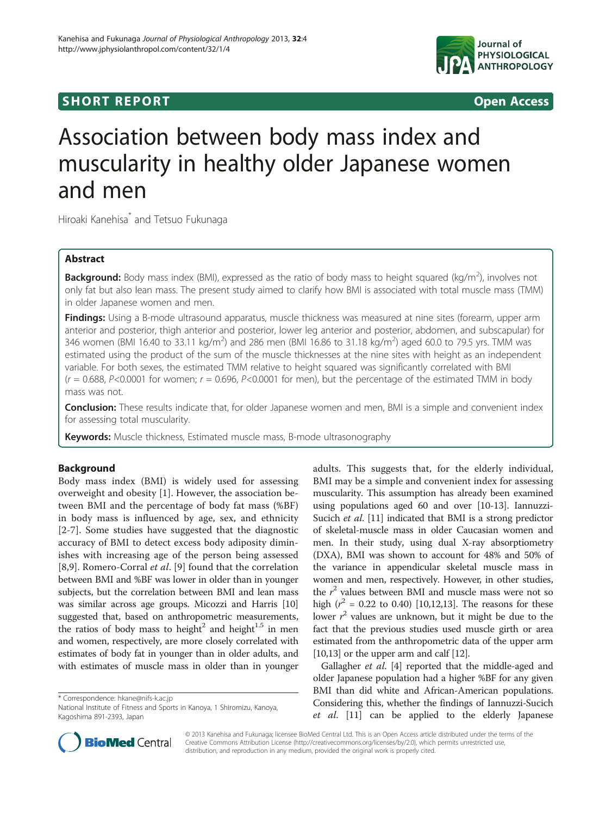## **SHORT REPORT SHORT CONSTRUCTES**



# Association between body mass index and muscularity in healthy older Japanese women and men

Hiroaki Kanehisa\* and Tetsuo Fukunaga

## Abstract

Background: Body mass index (BMI), expressed as the ratio of body mass to height squared (kg/m<sup>2</sup>), involves not only fat but also lean mass. The present study aimed to clarify how BMI is associated with total muscle mass (TMM) in older Japanese women and men.

Findings: Using a B-mode ultrasound apparatus, muscle thickness was measured at nine sites (forearm, upper arm anterior and posterior, thigh anterior and posterior, lower leg anterior and posterior, abdomen, and subscapular) for 346 women (BMI 16.40 to 33.11 kg/m<sup>2</sup>) and 286 men (BMI 16.86 to 31.18 kg/m<sup>2</sup>) aged 60.0 to 79.5 yrs. TMM was estimated using the product of the sum of the muscle thicknesses at the nine sites with height as an independent variable. For both sexes, the estimated TMM relative to height squared was significantly correlated with BMI  $(r = 0.688, P < 0.0001$  for women;  $r = 0.696, P < 0.0001$  for men), but the percentage of the estimated TMM in body mass was not.

Conclusion: These results indicate that, for older Japanese women and men, BMI is a simple and convenient index for assessing total muscularity.

**Keywords:** Muscle thickness, Estimated muscle mass, B-mode ultrasonography

## Background

Body mass index (BMI) is widely used for assessing overweight and obesity [\[1](#page-3-0)]. However, the association between BMI and the percentage of body fat mass (%BF) in body mass is influenced by age, sex, and ethnicity [[2-7\]](#page-3-0). Some studies have suggested that the diagnostic accuracy of BMI to detect excess body adiposity diminishes with increasing age of the person being assessed [[8,9](#page-3-0)]. Romero-Corral et al. [[9\]](#page-3-0) found that the correlation between BMI and %BF was lower in older than in younger subjects, but the correlation between BMI and lean mass was similar across age groups. Micozzi and Harris [[10](#page-3-0)] suggested that, based on anthropometric measurements, the ratios of body mass to height<sup>2</sup> and height<sup>1.5</sup> in men and women, respectively, are more closely correlated with estimates of body fat in younger than in older adults, and with estimates of muscle mass in older than in younger

\* Correspondence: [hkane@nifs-k.ac.jp](mailto:hkane@nifs-k.ac.jp)

National Institute of Fitness and Sports in Kanoya, 1 Shiromizu, Kanoya, Kagoshima 891-2393, Japan



Gallagher et al. [[4](#page-3-0)] reported that the middle-aged and older Japanese population had a higher %BF for any given BMI than did white and African-American populations. Considering this, whether the findings of Iannuzzi-Sucich et al. [[11](#page-3-0)] can be applied to the elderly Japanese



© 2013 Kanehisa and Fukunaga; licensee BioMed Central Ltd. This is an Open Access article distributed under the terms of the Creative Commons Attribution License (<http://creativecommons.org/licenses/by/2.0>), which permits unrestricted use, distribution, and reproduction in any medium, provided the original work is properly cited.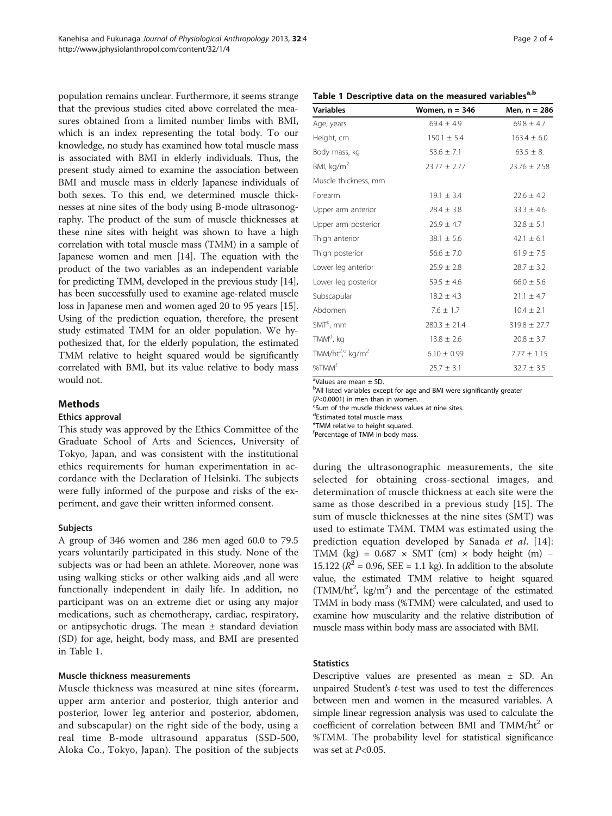<span id="page-1-0"></span>population remains unclear. Furthermore, it seems strange that the previous studies cited above correlated the measures obtained from a limited number limbs with BMI, which is an index representing the total body. To our knowledge, no study has examined how total muscle mass is associated with BMI in elderly individuals. Thus, the present study aimed to examine the association between BMI and muscle mass in elderly Japanese individuals of both sexes. To this end, we determined muscle thicknesses at nine sites of the body using B-mode ultrasonography. The product of the sum of muscle thicknesses at these nine sites with height was shown to have a high correlation with total muscle mass (TMM) in a sample of Japanese women and men [\[14](#page-3-0)]. The equation with the product of the two variables as an independent variable for predicting TMM, developed in the previous study [[14](#page-3-0)], has been successfully used to examine age-related muscle loss in Japanese men and women aged 20 to 95 years [[15](#page-3-0)]. Using of the prediction equation, therefore, the present study estimated TMM for an older population. We hypothesized that, for the elderly population, the estimated TMM relative to height squared would be significantly correlated with BMI, but its value relative to body mass would not.

## Methods

#### Ethics approval

This study was approved by the Ethics Committee of the Graduate School of Arts and Sciences, University of Tokyo, Japan, and was consistent with the institutional ethics requirements for human experimentation in accordance with the Declaration of Helsinki. The subjects were fully informed of the purpose and risks of the experiment, and gave their written informed consent.

### Subjects

A group of 346 women and 286 men aged 60.0 to 79.5 years voluntarily participated in this study. None of the subjects was or had been an athlete. Moreover, none was using walking sticks or other walking aids ,and all were functionally independent in daily life. In addition, no participant was on an extreme diet or using any major medications, such as chemotherapy, cardiac, respiratory, or antipsychotic drugs. The mean  $\pm$  standard deviation (SD) for age, height, body mass, and BMI are presented in Table 1.

#### Muscle thickness measurements

Muscle thickness was measured at nine sites (forearm, upper arm anterior and posterior, thigh anterior and posterior, lower leg anterior and posterior, abdomen, and subscapular) on the right side of the body, using a real time B-mode ultrasound apparatus (SSD-500, Aloka Co., Tokyo, Japan). The position of the subjects

## Table 1 Descriptive data on the measured variables<sup>a,b</sup>

| <b>Variables</b>                        | Women, $n = 346$ | Men, n = 286     |
|-----------------------------------------|------------------|------------------|
| Age, years                              | $69.4 \pm 4.9$   | $69.8 \pm 4.7$   |
| Height, cm                              | $150.1 \pm 5.4$  | $163.4 \pm 6.0$  |
| Body mass, kg                           | $53.6 \pm 7.1$   | $63.5 \pm 8$ .   |
| BMI, kg/m <sup>2</sup>                  | $23.77 \pm 2.77$ | $23.76 \pm 2.58$ |
| Muscle thickness, mm                    |                  |                  |
| Forearm                                 | $19.1 \pm 3.4$   | $22.6 \pm 4.2$   |
| Upper arm anterior                      | $28.4 \pm 3.8$   | $33.3 \pm 4.6$   |
| Upper arm posterior                     | $26.9 \pm 4.7$   | $32.8 \pm 5.1$   |
| Thigh anterior                          | $38.1 \pm 5.6$   | $42.1 \pm 6.1$   |
| Thigh posterior                         | $56.6 \pm 7.0$   | $61.9 \pm 7.5$   |
| Lower leg anterior                      | $25.9 \pm 2.8$   | $28.7 \pm 3.2$   |
| Lower leg posterior                     | $59.5 \pm 4.6$   | $66.0 \pm 5.6$   |
| Subscapular                             | $18.2 \pm 4.3$   | $21.1 \pm 4.7$   |
| Abdomen                                 | $7.6 \pm 1.7$    | $10.4 \pm 2.1$   |
| $SMTc$ , mm                             | $280.3 \pm 21.4$ | $319.8 \pm 27.7$ |
| TMM <sup>d</sup> , kg                   | $13.8 \pm 2.6$   | $20.8 \pm 3.7$   |
| TMM/ht <sup>2,e</sup> kg/m <sup>2</sup> | $6.10 \pm 0.99$  | $7.77 \pm 1.15$  |
| %TMM <sup>f</sup>                       | $25.7 \pm 3.1$   | $32.7 \pm 3.5$   |

a Values are mean ± SD.

<sup>b</sup>All listed variables except for age and BMI were significantly greater

 $(P<0.0001)$  in men than in women. <sup>c</sup>Sum of the muscle thickness values at nine sites.

dEstimated total muscle mass.

eTMM relative to height squared.

f Percentage of TMM in body mass.

during the ultrasonographic measurements, the site selected for obtaining cross-sectional images, and determination of muscle thickness at each site were the same as those described in a previous study [[15\]](#page-3-0). The sum of muscle thicknesses at the nine sites (SMT) was used to estimate TMM. TMM was estimated using the prediction equation developed by Sanada et al. [[14](#page-3-0)]: TMM (kg) =  $0.687 \times SMT$  (cm)  $\times$  body height (m) – 15.122 ( $R^2$  = 0.96, SEE = 1.1 kg). In addition to the absolute value, the estimated TMM relative to height squared (TMM/ht<sup>2</sup>, kg/m<sup>2</sup>) and the percentage of the estimated TMM in body mass (%TMM) were calculated, and used to examine how muscularity and the relative distribution of muscle mass within body mass are associated with BMI.

## **Statistics**

Descriptive values are presented as mean ± SD. An unpaired Student's t-test was used to test the differences between men and women in the measured variables. A simple linear regression analysis was used to calculate the coefficient of correlation between BMI and  $TMM/ht<sup>2</sup>$  or %TMM. The probability level for statistical significance was set at  $P<0.05$ .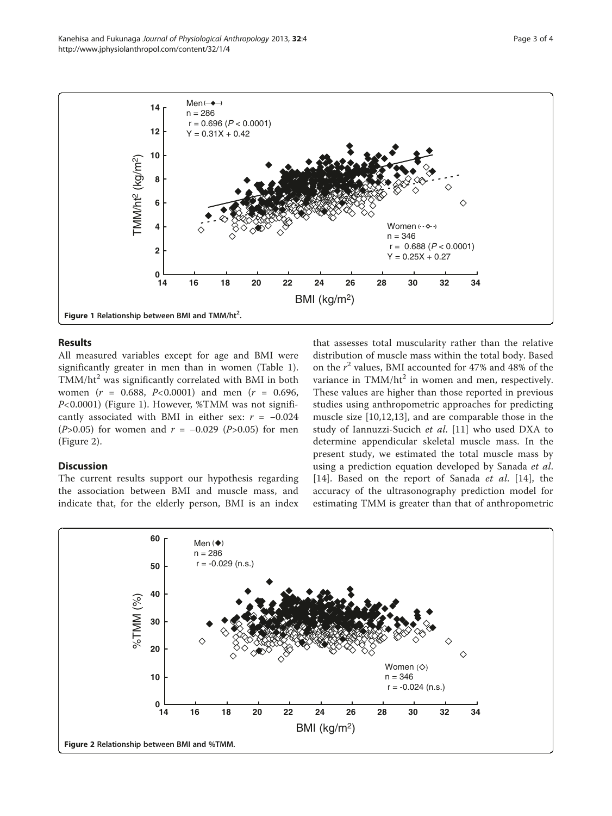

## Results

All measured variables except for age and BMI were significantly greater in men than in women (Table [1](#page-1-0)).  $TMM/ht<sup>2</sup>$  was significantly correlated with BMI in both women ( $r = 0.688$ ,  $P < 0.0001$ ) and men ( $r = 0.696$ ) P<0.0001) (Figure 1). However, %TMM was not significantly associated with BMI in either sex:  $r = -0.024$ ( $P > 0.05$ ) for women and  $r = -0.029$  ( $P > 0.05$ ) for men (Figure 2).

## Discussion

The current results support our hypothesis regarding the association between BMI and muscle mass, and indicate that, for the elderly person, BMI is an index

that assesses total muscularity rather than the relative distribution of muscle mass within the total body. Based on the  $r^2$  values, BMI accounted for 47% and 48% of the variance in  $TMM/ht^2$  in women and men, respectively. These values are higher than those reported in previous studies using anthropometric approaches for predicting muscle size [[10,12](#page-3-0),[13\]](#page-3-0), and are comparable those in the study of Iannuzzi-Sucich et al. [\[11](#page-3-0)] who used DXA to determine appendicular skeletal muscle mass. In the present study, we estimated the total muscle mass by using a prediction equation developed by Sanada et al. [[14\]](#page-3-0). Based on the report of Sanada et al. [14], the accuracy of the ultrasonography prediction model for estimating TMM is greater than that of anthropometric